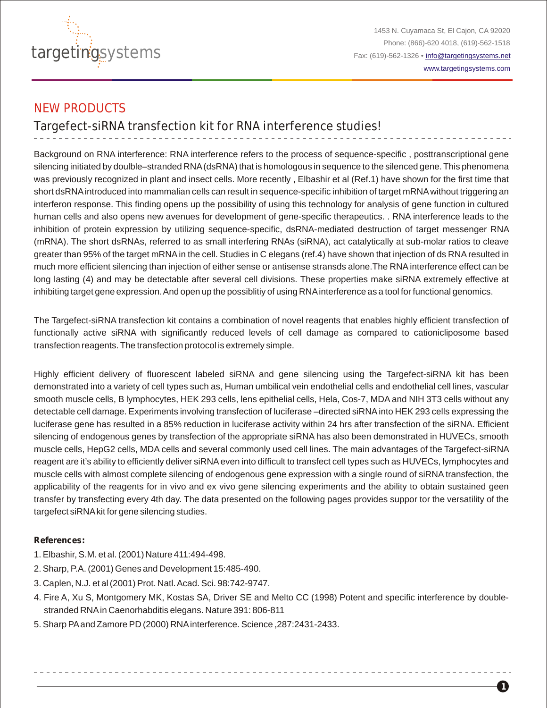

1453 N. Cuyamaca St, El Cajon, CA 92020 Phone: (866)-620 4018, (619)-562-1518 Fax: (619)-562-1326 • [info@targetingsystems.net](mailto:info@targetingsystems.net) [www.targetingsystems.com](http://targetingsystems.net/)

**1**

# NEW PRODUCTS

Targefect-siRNA transfection kit for RNA interference studies!

Background on RNA interference: RNA interference refers to the process of sequence-specific , posttranscriptional gene silencing initiated by doulble–stranded RNA(dsRNA) that is homologous in sequence to the silenced gene. This phenomena was previously recognized in plant and insect cells. More recently , Elbashir et al (Ref.1) have shown for the first time that short dsRNAintroduced into mammalian cells can result in sequence-specific inhibition of target mRNAwithout triggering an interferon response. This finding opens up the possibility of using this technology for analysis of gene function in cultured human cells and also opens new avenues for development of gene-specific therapeutics. . RNA interference leads to the inhibition of protein expression by utilizing sequence-specific, dsRNA-mediated destruction of target messenger RNA (mRNA). The short dsRNAs, referred to as small interfering RNAs (siRNA), act catalytically at sub-molar ratios to cleave greater than 95% of the target mRNAin the cell. Studies in C elegans (ref.4) have shown that injection of ds RNAresulted in much more efficient silencing than injection of either sense or antisense stransds alone.The RNAinterference effect can be long lasting (4) and may be detectable after several cell divisions. These properties make siRNA extremely effective at inhibiting target gene expression. And open up the possiblitiy of using RNAinterference as a tool for functional genomics.

The Targefect-siRNA transfection kit contains a combination of novel reagents that enables highly efficient transfection of functionally active siRNA with significantly reduced levels of cell damage as compared to cationicliposome based transfection reagents. The transfection protocol is extremely simple.

Highly efficient delivery of fluorescent labeled siRNA and gene silencing using the Targefect-siRNA kit has been demonstrated into a variety of cell types such as, Human umbilical vein endothelial cells and endothelial cell lines, vascular smooth muscle cells, B lymphocytes, HEK 293 cells, lens epithelial cells, Hela, Cos-7, MDA and NIH 3T3 cells without any detectable cell damage. Experiments involving transfection of luciferase –directed siRNAinto HEK 293 cells expressing the luciferase gene has resulted in a 85% reduction in luciferase activity within 24 hrs after transfection of the siRNA. Efficient silencing of endogenous genes by transfection of the appropriate siRNA has also been demonstrated in HUVECs, smooth muscle cells, HepG2 cells, MDA cells and several commonly used cell lines. The main advantages of the Targefect-siRNA reagent are it's ability to efficiently deliver siRNAeven into difficult to transfect cell types such as HUVECs, lymphocytes and muscle cells with almost complete silencing of endogenous gene expression with a single round of siRNA transfection, the applicability of the reagents for in vivo and ex vivo gene silencing experiments and the ability to obtain sustained geen transfer by transfecting every 4th day. The data presented on the following pages provides suppor tor the versatility of the targefect siRNAkit for gene silencing studies.

### **References:**

- 1. Elbashir, S.M. et al. (2001) Nature 411:494-498.
- 2. Sharp, P.A. (2001) Genes and Development 15:485-490.
- 3. Caplen, N.J. et al (2001) Prot. Natl. Acad. Sci. 98:742-9747.
- 4. Fire A, Xu S, Montgomery MK, Kostas SA, Driver SE and Melto CC (1998) Potent and specific interference by doublestranded RNAin Caenorhabditis elegans. Nature 391: 806-811
- 5. Sharp PAand Zamore PD (2000) RNAinterference. Science ,287:2431-2433.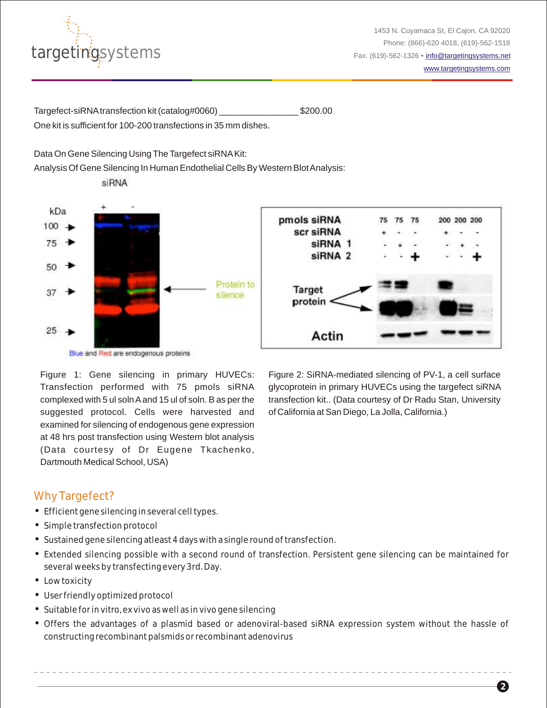

**2**

Targefect-siRNAtransfection kit (catalog#0060) \_\_\_\_\_\_\_\_\_\_\_\_\_\_\_\_ \$200.00 One kit is sufficient for 100-200 transfections in 35 mm dishes.

### Data On Gene Silencing Using The Targefect siRNAKit:

Analysis Of Gene Silencing In Human Endothelial Cells By Western Blot Analysis:

siRNA



Figure 1: Gene silencing in primary HUVECs: Transfection performed with 75 pmols siRNA complexed with 5 ul soln Aand 15 ul of soln. B as per the suggested protocol. Cells were harvested and examined for silencing of endogenous gene expression at 48 hrs post transfection using Western blot analysis (Data courtesy of Dr Eugene Tkachenko, Dartmouth Medical School, USA)

Figure 2: SiRNA-mediated silencing of PV-1, a cell surface glycoprotein in primary HUVECs using the targefect siRNA transfection kit.. (Data courtesy of Dr Radu Stan, University of California at San Diego, La Jolla, California.)

## Why Targefect?

- Efficient gene silencing in several cell types.
- Simple transfection protocol
- Sustained gene silencing atleast 4 days with a single round of transfection.
- Extended silencing possible with a second round of transfection. Persistent gene silencing can be maintained for several weeks by transfecting every 3rd. Day.
- Low toxicity
- User friendly optimized protocol
- Suitable for in vitro, ex vivo as well as in vivo gene silencing
- Offers the advantages of a plasmid based or adenoviral-based siRNA expression system without the hassle of constructing recombinant palsmids or recombinant adenovirus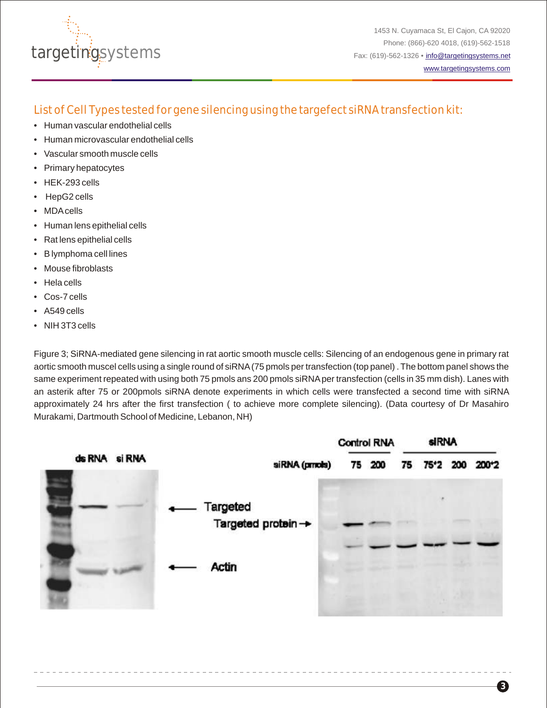

# List of Cell Types tested for gene silencing using the targefect siRNA transfection kit:

- Human vascular endothelial cells
- Human microvascular endothelial cells •
- Vascular smooth muscle cells •
- Primary hepatocytes •
- HEK-293 cells
- HepG2 cells •
- MDA cells
- Human lens epithelial cells
- Rat lens epithelial cells •
- B lymphoma cell lines •
- Mouse fibroblasts •
- Hela cells •
- Cos-7 cells •
- A549 cells •
- NIH 3T3 cells •

Figure 3; SiRNA-mediated gene silencing in rat aortic smooth muscle cells: Silencing of an endogenous gene in primary rat aortic smooth muscel cells using a single round of siRNA(75 pmols per transfection (top panel) . The bottom panel shows the same experiment repeated with using both 75 pmols ans 200 pmols siRNAper transfection (cells in 35 mm dish). Lanes with an asterik after 75 or 200pmols siRNA denote experiments in which cells were transfected a second time with siRNA approximately 24 hrs after the first transfection ( to achieve more complete silencing). (Data courtesy of Dr Masahiro Murakami, Dartmouth School of Medicine, Lebanon, NH)

|               |                                | <b>Control RNA</b> |        | <b>SIRNA</b> |  |  |                   |
|---------------|--------------------------------|--------------------|--------|--------------|--|--|-------------------|
| ds RNA si RNA | siRNA (prnots)                 |                    | 75 200 |              |  |  | 75 75*2 200 200*2 |
|               | Targeted<br>Targeted protein - |                    |        |              |  |  |                   |
|               | <b>Actin</b>                   |                    |        |              |  |  |                   |

**3**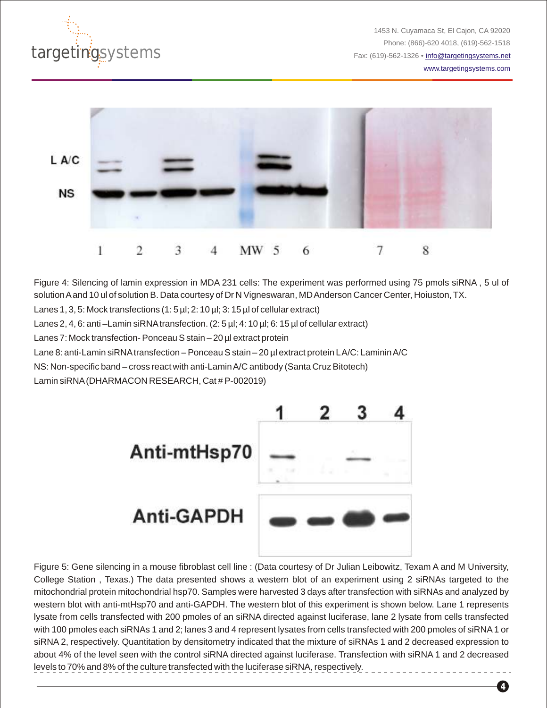

1453 N. Cuyamaca St, El Cajon, CA 92020 Phone: (866)-620 4018, (619)-562-1518 Fax: (619)-562-1326 • [info@targetingsystems.net](mailto:info@targetingsystems.net)

[www.targetingsystems.com](http://targetingsystems.net/)



Figure 4: Silencing of lamin expression in MDA 231 cells: The experiment was performed using 75 pmols siRNA , 5 ul of solution Aand 10 ul of solution B. Data courtesy of Dr N Vigneswaran, MD Anderson Cancer Center, Hoiuston, TX.

Lanes 1, 3, 5: Mock transfections (1: 5 µl; 2: 10 µl; 3: 15 µl of cellular extract)

Lanes 2, 4, 6: anti –Lamin siRNA transfection. (2: 5 µl; 4: 10 µl; 6: 15 µl of cellular extract)

Lanes 7: Mock transfection- Ponceau S stain – 20 µl extract protein

Lane 8: anti-Lamin siRNA transfection – Ponceau S stain – 20 µl extract protein LA/C: Laminin A/C

NS: Non-specific band – cross react with anti-Lamin A/C antibody (Santa Cruz Bitotech)

Lamin siRNA(DHARMACON RESEARCH, Cat # P-002019)



Figure 5: Gene silencing in a mouse fibroblast cell line : (Data courtesy of Dr Julian Leibowitz, Texam A and M University, College Station , Texas.) The data presented shows a western blot of an experiment using 2 siRNAs targeted to the mitochondrial protein mitochondrial hsp70. Samples were harvested 3 days after transfection with siRNAs and analyzed by western blot with anti-mtHsp70 and anti-GAPDH. The western blot of this experiment is shown below. Lane 1 represents lysate from cells transfected with 200 pmoles of an siRNA directed against luciferase, lane 2 lysate from cells transfected with 100 pmoles each siRNAs 1 and 2; lanes 3 and 4 represent lysates from cells transfected with 200 pmoles of siRNA1 or siRNA 2, respectively. Quantitation by densitometry indicated that the mixture of siRNAs 1 and 2 decreased expression to about 4% of the level seen with the control siRNA directed against luciferase. Transfection with siRNA 1 and 2 decreased levels to 70% and 8% of the culture transfected with the luciferase siRNA, respectively.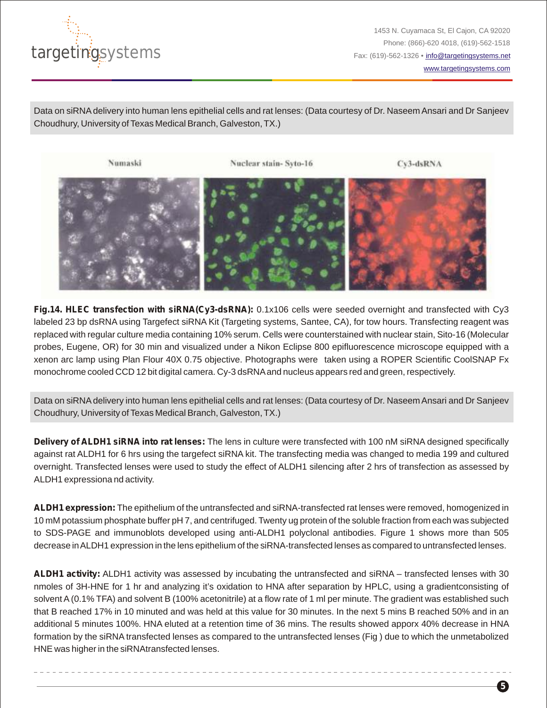

1453 N. Cuyamaca St, El Cajon, CA 92020 Phone: (866)-620 4018, (619)-562-1518 Fax: (619)-562-1326 • [info@targetingsystems.net](mailto:info@targetingsystems.net)

[www.targetingsystems.com](http://targetingsystems.net/)

**5**

Data on siRNAdelivery into human lens epithelial cells and rat lenses: (Data courtesy of Dr. Naseem Ansari and Dr Sanjeev Choudhury, University of Texas Medical Branch, Galveston, TX.)



**Fig.14. HLEC transfection with siRNA(Cy3-dsRNA):** 0.1x106 cells were seeded overnight and transfected with Cy3 labeled 23 bp dsRNA using Targefect siRNA Kit (Targeting systems, Santee, CA), for tow hours. Transfecting reagent was replaced with regular culture media containing 10% serum. Cells were counterstained with nuclear stain, Sito-16 (Molecular probes, Eugene, OR) for 30 min and visualized under a Nikon Eclipse 800 epifluorescence microscope equipped with a xenon arc lamp using Plan Flour 40X 0.75 objective. Photographs were taken using a ROPER Scientific CoolSNAP Fx monochrome cooled CCD 12 bit digital camera. Cy-3 dsRNAand nucleus appears red and green, respectively.

Data on siRNAdelivery into human lens epithelial cells and rat lenses: (Data courtesy of Dr. Naseem Ansari and Dr Sanjeev Choudhury, University of Texas Medical Branch, Galveston, TX.)

**Delivery of ALDH1 siRNA into rat lenses:** The lens in culture were transfected with 100 nM siRNA designed specifically against rat ALDH1 for 6 hrs using the targefect siRNA kit. The transfecting media was changed to media 199 and cultured overnight. Transfected lenses were used to study the effect of ALDH1 silencing after 2 hrs of transfection as assessed by ALDH1 expressiona nd activity.

**ALDH1 expression:** The epithelium of the untransfected and siRNA-transfected rat lenses were removed, homogenized in 10 mM potassium phosphate buffer pH 7, and centrifuged. Twenty ug protein of the soluble fraction from each was subjected to SDS-PAGE and immunoblots developed using anti-ALDH1 polyclonal antibodies. Figure 1 shows more than 505 decrease in ALDH1 expression in the lens epithelium of the siRNA-transfected lenses as compared to untransfected lenses.

**ALDH1 activity:** ALDH1 activity was assessed by incubating the untransfected and siRNA – transfected lenses with 30 nmoles of 3H-HNE for 1 hr and analyzing it's oxidation to HNA after separation by HPLC, using a gradientconsisting of solvent A(0.1% TFA) and solvent B (100% acetonitrile) at a flow rate of 1 ml per minute. The gradient was established such that B reached 17% in 10 minuted and was held at this value for 30 minutes. In the next 5 mins B reached 50% and in an additional 5 minutes 100%. HNA eluted at a retention time of 36 mins. The results showed apporx 40% decrease in HNA formation by the siRNA transfected lenses as compared to the untransfected lenses (Fig ) due to which the unmetabolized HNE was higher in the siRNAtransfected lenses.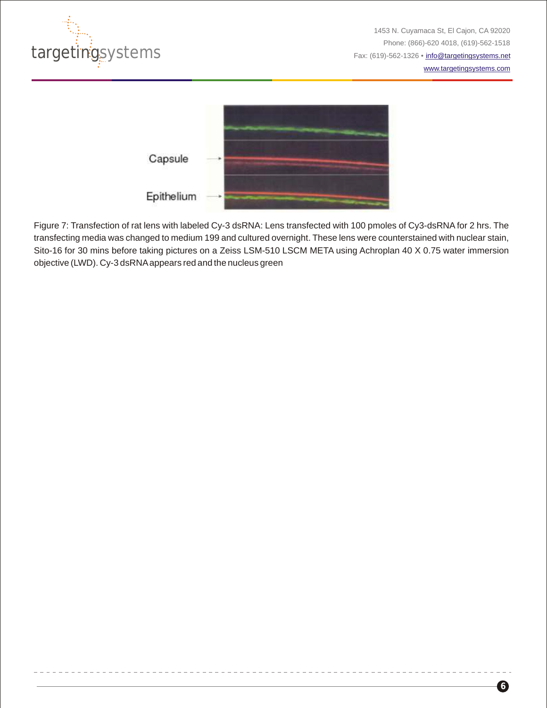

[www.targetingsystems.com](http://targetingsystems.net/)



Figure 7: Transfection of rat lens with labeled Cy-3 dsRNA: Lens transfected with 100 pmoles of Cy3-dsRNA for 2 hrs. The transfecting media was changed to medium 199 and cultured overnight. These lens were counterstained with nuclear stain, Sito-16 for 30 mins before taking pictures on a Zeiss LSM-510 LSCM META using Achroplan 40 X 0.75 water immersion objective (LWD). Cy-3 dsRNAappears red and the nucleus green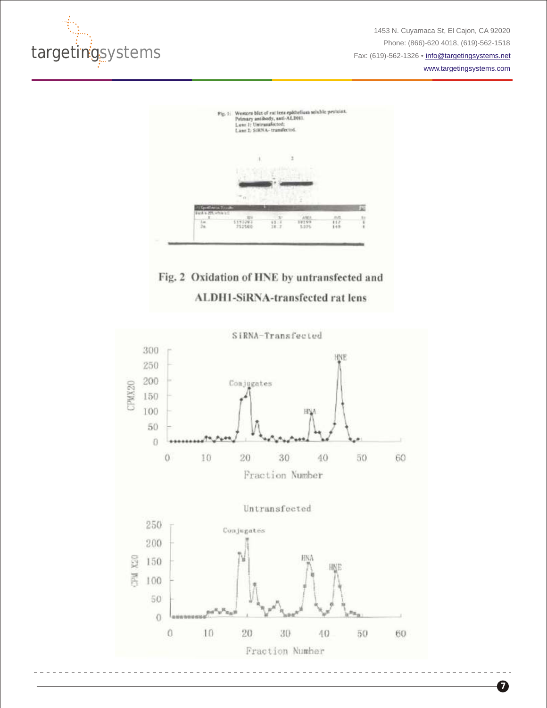

1453 N. Cuyamaca St, El Cajon, CA 92020 Phone: (866)-620 4018, (619)-562-1518 Fax: (619)-562-1326 • [info@targetingsystems.net](mailto:info@targetingsystems.net)

[www.targetingsystems.com](http://targetingsystems.net/)



# Fig. 2 Oxidation of HNE by untransfected and **ALDH1-SiRNA-transfected rat lens**

![](_page_6_Figure_5.jpeg)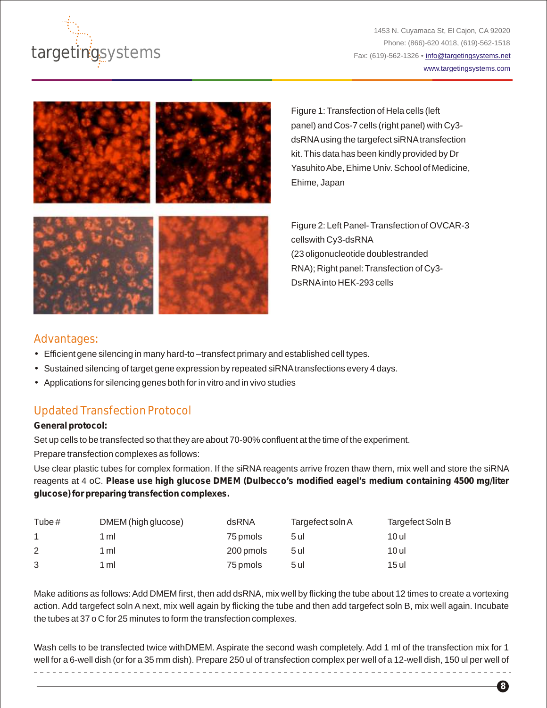![](_page_7_Picture_0.jpeg)

1453 N. Cuyamaca St, El Cajon, CA 92020 Phone: (866)-620 4018, (619)-562-1518 Fax: (619)-562-1326 • [info@targetingsystems.net](mailto:info@targetingsystems.net) [www.targetingsystems.com](http://targetingsystems.net/)

**8**

![](_page_7_Picture_2.jpeg)

Figure 1: Transfection of Hela cells (left panel) and Cos-7 cells (right panel) with Cy3 dsRNAusing the targefect siRNAtransfection kit. This data has been kindly provided by Dr Yasuhito Abe, Ehime Univ. School of Medicine, Ehime, Japan

![](_page_7_Picture_4.jpeg)

Figure 2: Left Panel- Transfection of OVCAR-3 cellswith Cy3-dsRNA (23 oligonucleotide doublestranded RNA); Right panel: Transfection of Cy3- DsRNAinto HEK-293 cells

### Advantages:

- Efficient gene silencing in many hard-to –transfect primary and established cell types.
- Sustained silencing of target gene expression by repeated siRNAtransfections every 4 days.
- Applications for silencing genes both for in vitro and in vivo studies

# Updated Transfection Protocol

#### **General protocol:**

Set up cells to be transfected so that they are about 70-90% confluent at the time of the experiment. Prepare transfection complexes as follows:

Use clear plastic tubes for complex formation. If the siRNA reagents arrive frozen thaw them, mix well and store the siRNA reagents at 4 oC. **Please use high glucose DMEM (Dulbecco's modified eagel's medium containing 4500 mg/liter glucose) for preparing transfection complexes.**

| Tube $#$ | DMEM (high glucose) | dsRNA     | Targefect soln A | Targefect Soln B |
|----------|---------------------|-----------|------------------|------------------|
|          | 1 ml                | 75 pmols  | 5 ul             | 10 ul            |
| 2        | 1 ml                | 200 pmols | 5 ul             | 10 ul            |
| 3        | 1 ml                | 75 pmols  | 5 ul             | 15 ul            |

Make aditions as follows: Add DMEM first, then add dsRNA, mix well by flicking the tube about 12 times to create a vortexing action. Add targefect soln A next, mix well again by flicking the tube and then add targefect soln B, mix well again. Incubate the tubes at 37 o C for 25 minutes to form the transfection complexes.

Wash cells to be transfected twice withDMEM. Aspirate the second wash completely. Add 1 ml of the transfection mix for 1 well for a 6-well dish (or for a 35 mm dish). Prepare 250 ul of transfection complex per well of a 12-well dish, 150 ul per well of